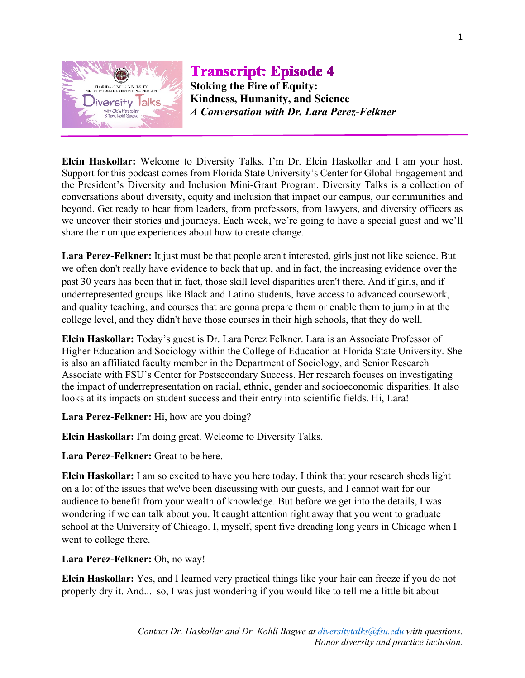

**Transcript: Episode 4 Stoking the Fire of Equity: Kindness, Humanity, and Science** *A Conversation with Dr. Lara Perez-Felkner*

**Elcin Haskollar:** Welcome to Diversity Talks. I'm Dr. Elcin Haskollar and I am your host. Support for this podcast comes from Florida State University's Center for Global Engagement and the President's Diversity and Inclusion Mini-Grant Program. Diversity Talks is a collection of conversations about diversity, equity and inclusion that impact our campus, our communities and beyond. Get ready to hear from leaders, from professors, from lawyers, and diversity officers as we uncover their stories and journeys. Each week, we're going to have a special guest and we'll share their unique experiences about how to create change.

**Lara Perez-Felkner:** It just must be that people aren't interested, girls just not like science. But we often don't really have evidence to back that up, and in fact, the increasing evidence over the past 30 years has been that in fact, those skill level disparities aren't there. And if girls, and if underrepresented groups like Black and Latino students, have access to advanced coursework, and quality teaching, and courses that are gonna prepare them or enable them to jump in at the college level, and they didn't have those courses in their high schools, that they do well.

**Elcin Haskollar:** Today's guest is Dr. Lara Perez Felkner. Lara is an Associate Professor of Higher Education and Sociology within the College of Education at Florida State University. She is also an affiliated faculty member in the Department of Sociology, and Senior Research Associate with FSU's Center for Postsecondary Success. Her research focuses on investigating the impact of underrepresentation on racial, ethnic, gender and socioeconomic disparities. It also looks at its impacts on student success and their entry into scientific fields. Hi, Lara!

**Lara Perez-Felkner:** Hi, how are you doing?

**Elcin Haskollar:** I'm doing great. Welcome to Diversity Talks.

**Lara Perez-Felkner:** Great to be here.

**Elcin Haskollar:** I am so excited to have you here today. I think that your research sheds light on a lot of the issues that we've been discussing with our guests, and I cannot wait for our audience to benefit from your wealth of knowledge. But before we get into the details, I was wondering if we can talk about you. It caught attention right away that you went to graduate school at the University of Chicago. I, myself, spent five dreading long years in Chicago when I went to college there.

**Lara Perez-Felkner:** Oh, no way!

**Elcin Haskollar:** Yes, and I learned very practical things like your hair can freeze if you do not properly dry it. And... so, I was just wondering if you would like to tell me a little bit about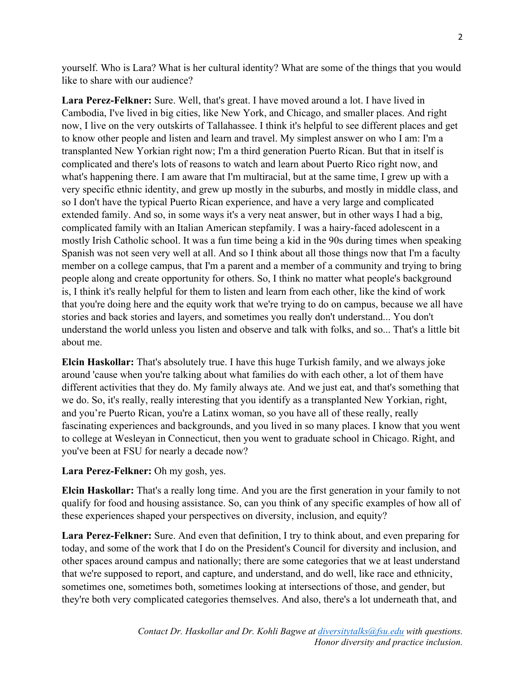yourself. Who is Lara? What is her cultural identity? What are some of the things that you would like to share with our audience?

**Lara Perez-Felkner:** Sure. Well, that's great. I have moved around a lot. I have lived in Cambodia, I've lived in big cities, like New York, and Chicago, and smaller places. And right now, I live on the very outskirts of Tallahassee. I think it's helpful to see different places and get to know other people and listen and learn and travel. My simplest answer on who I am: I'm a transplanted New Yorkian right now; I'm a third generation Puerto Rican. But that in itself is complicated and there's lots of reasons to watch and learn about Puerto Rico right now, and what's happening there. I am aware that I'm multiracial, but at the same time, I grew up with a very specific ethnic identity, and grew up mostly in the suburbs, and mostly in middle class, and so I don't have the typical Puerto Rican experience, and have a very large and complicated extended family. And so, in some ways it's a very neat answer, but in other ways I had a big, complicated family with an Italian American stepfamily. I was a hairy-faced adolescent in a mostly Irish Catholic school. It was a fun time being a kid in the 90s during times when speaking Spanish was not seen very well at all. And so I think about all those things now that I'm a faculty member on a college campus, that I'm a parent and a member of a community and trying to bring people along and create opportunity for others. So, I think no matter what people's background is, I think it's really helpful for them to listen and learn from each other, like the kind of work that you're doing here and the equity work that we're trying to do on campus, because we all have stories and back stories and layers, and sometimes you really don't understand... You don't understand the world unless you listen and observe and talk with folks, and so... That's a little bit about me.

**Elcin Haskollar:** That's absolutely true. I have this huge Turkish family, and we always joke around 'cause when you're talking about what families do with each other, a lot of them have different activities that they do. My family always ate. And we just eat, and that's something that we do. So, it's really, really interesting that you identify as a transplanted New Yorkian, right, and you're Puerto Rican, you're a Latinx woman, so you have all of these really, really fascinating experiences and backgrounds, and you lived in so many places. I know that you went to college at Wesleyan in Connecticut, then you went to graduate school in Chicago. Right, and you've been at FSU for nearly a decade now?

**Lara Perez-Felkner:** Oh my gosh, yes.

**Elcin Haskollar:** That's a really long time. And you are the first generation in your family to not qualify for food and housing assistance. So, can you think of any specific examples of how all of these experiences shaped your perspectives on diversity, inclusion, and equity?

**Lara Perez-Felkner:** Sure. And even that definition, I try to think about, and even preparing for today, and some of the work that I do on the President's Council for diversity and inclusion, and other spaces around campus and nationally; there are some categories that we at least understand that we're supposed to report, and capture, and understand, and do well, like race and ethnicity, sometimes one, sometimes both, sometimes looking at intersections of those, and gender, but they're both very complicated categories themselves. And also, there's a lot underneath that, and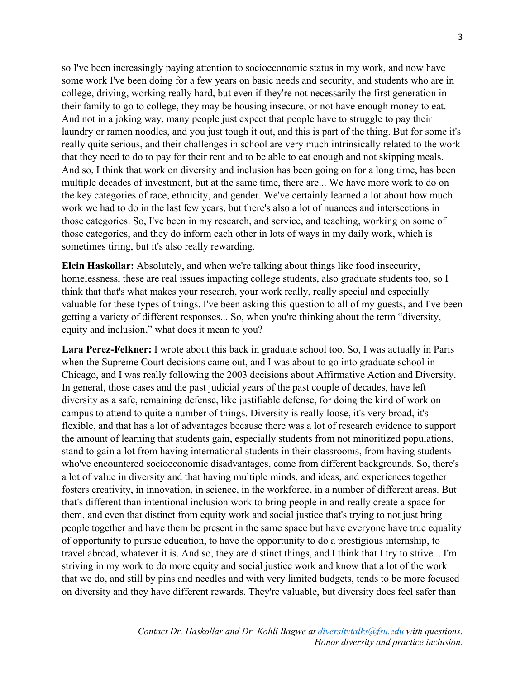so I've been increasingly paying attention to socioeconomic status in my work, and now have some work I've been doing for a few years on basic needs and security, and students who are in college, driving, working really hard, but even if they're not necessarily the first generation in their family to go to college, they may be housing insecure, or not have enough money to eat. And not in a joking way, many people just expect that people have to struggle to pay their laundry or ramen noodles, and you just tough it out, and this is part of the thing. But for some it's really quite serious, and their challenges in school are very much intrinsically related to the work that they need to do to pay for their rent and to be able to eat enough and not skipping meals. And so, I think that work on diversity and inclusion has been going on for a long time, has been multiple decades of investment, but at the same time, there are... We have more work to do on the key categories of race, ethnicity, and gender. We've certainly learned a lot about how much work we had to do in the last few years, but there's also a lot of nuances and intersections in those categories. So, I've been in my research, and service, and teaching, working on some of those categories, and they do inform each other in lots of ways in my daily work, which is sometimes tiring, but it's also really rewarding.

**Elcin Haskollar:** Absolutely, and when we're talking about things like food insecurity, homelessness, these are real issues impacting college students, also graduate students too, so I think that that's what makes your research, your work really, really special and especially valuable for these types of things. I've been asking this question to all of my guests, and I've been getting a variety of different responses... So, when you're thinking about the term "diversity, equity and inclusion," what does it mean to you?

**Lara Perez-Felkner:** I wrote about this back in graduate school too. So, I was actually in Paris when the Supreme Court decisions came out, and I was about to go into graduate school in Chicago, and I was really following the 2003 decisions about Affirmative Action and Diversity. In general, those cases and the past judicial years of the past couple of decades, have left diversity as a safe, remaining defense, like justifiable defense, for doing the kind of work on campus to attend to quite a number of things. Diversity is really loose, it's very broad, it's flexible, and that has a lot of advantages because there was a lot of research evidence to support the amount of learning that students gain, especially students from not minoritized populations, stand to gain a lot from having international students in their classrooms, from having students who've encountered socioeconomic disadvantages, come from different backgrounds. So, there's a lot of value in diversity and that having multiple minds, and ideas, and experiences together fosters creativity, in innovation, in science, in the workforce, in a number of different areas. But that's different than intentional inclusion work to bring people in and really create a space for them, and even that distinct from equity work and social justice that's trying to not just bring people together and have them be present in the same space but have everyone have true equality of opportunity to pursue education, to have the opportunity to do a prestigious internship, to travel abroad, whatever it is. And so, they are distinct things, and I think that I try to strive... I'm striving in my work to do more equity and social justice work and know that a lot of the work that we do, and still by pins and needles and with very limited budgets, tends to be more focused on diversity and they have different rewards. They're valuable, but diversity does feel safer than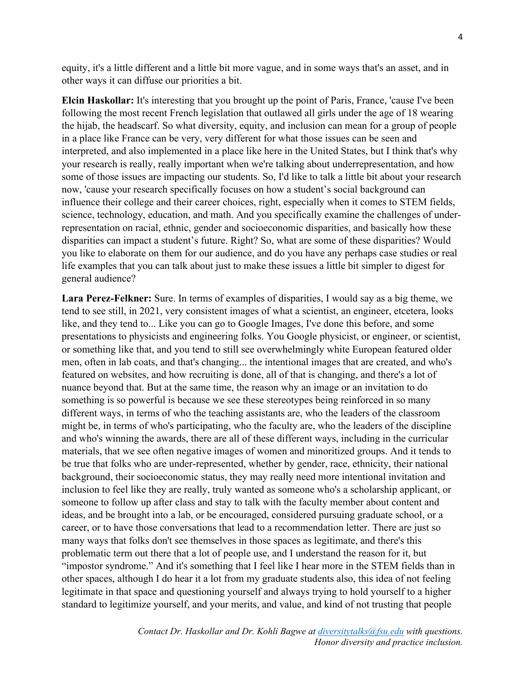equity, it's a little different and a little bit more vague, and in some ways that's an asset, and in other ways it can diffuse our priorities a bit.

**Elcin Haskollar:** It's interesting that you brought up the point of Paris, France, 'cause I've been following the most recent French legislation that outlawed all girls under the age of 18 wearing the hijab, the headscarf. So what diversity, equity, and inclusion can mean for a group of people in a place like France can be very, very different for what those issues can be seen and interpreted, and also implemented in a place like here in the United States, but I think that's why your research is really, really important when we're talking about underrepresentation, and how some of those issues are impacting our students. So, I'd like to talk a little bit about your research now, 'cause your research specifically focuses on how a student's social background can influence their college and their career choices, right, especially when it comes to STEM fields, science, technology, education, and math. And you specifically examine the challenges of underrepresentation on racial, ethnic, gender and socioeconomic disparities, and basically how these disparities can impact a student's future. Right? So, what are some of these disparities? Would you like to elaborate on them for our audience, and do you have any perhaps case studies or real life examples that you can talk about just to make these issues a little bit simpler to digest for general audience?

**Lara Perez-Felkner:** Sure. In terms of examples of disparities, I would say as a big theme, we tend to see still, in 2021, very consistent images of what a scientist, an engineer, etcetera, looks like, and they tend to... Like you can go to Google Images, I've done this before, and some presentations to physicists and engineering folks. You Google physicist, or engineer, or scientist, or something like that, and you tend to still see overwhelmingly white European featured older men, often in lab coats, and that's changing... the intentional images that are created, and who's featured on websites, and how recruiting is done, all of that is changing, and there's a lot of nuance beyond that. But at the same time, the reason why an image or an invitation to do something is so powerful is because we see these stereotypes being reinforced in so many different ways, in terms of who the teaching assistants are, who the leaders of the classroom might be, in terms of who's participating, who the faculty are, who the leaders of the discipline and who's winning the awards, there are all of these different ways, including in the curricular materials, that we see often negative images of women and minoritized groups. And it tends to be true that folks who are under-represented, whether by gender, race, ethnicity, their national background, their socioeconomic status, they may really need more intentional invitation and inclusion to feel like they are really, truly wanted as someone who's a scholarship applicant, or someone to follow up after class and stay to talk with the faculty member about content and ideas, and be brought into a lab, or be encouraged, considered pursuing graduate school, or a career, or to have those conversations that lead to a recommendation letter. There are just so many ways that folks don't see themselves in those spaces as legitimate, and there's this problematic term out there that a lot of people use, and I understand the reason for it, but "impostor syndrome." And it's something that I feel like I hear more in the STEM fields than in other spaces, although I do hear it a lot from my graduate students also, this idea of not feeling legitimate in that space and questioning yourself and always trying to hold yourself to a higher standard to legitimize yourself, and your merits, and value, and kind of not trusting that people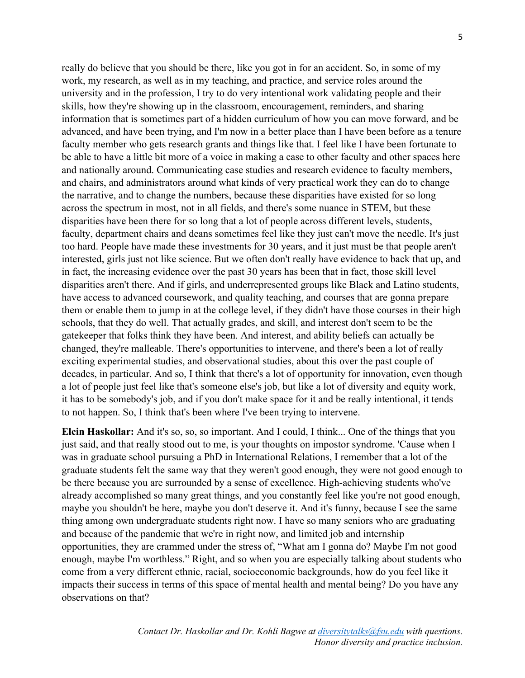really do believe that you should be there, like you got in for an accident. So, in some of my work, my research, as well as in my teaching, and practice, and service roles around the university and in the profession, I try to do very intentional work validating people and their skills, how they're showing up in the classroom, encouragement, reminders, and sharing information that is sometimes part of a hidden curriculum of how you can move forward, and be advanced, and have been trying, and I'm now in a better place than I have been before as a tenure faculty member who gets research grants and things like that. I feel like I have been fortunate to be able to have a little bit more of a voice in making a case to other faculty and other spaces here and nationally around. Communicating case studies and research evidence to faculty members, and chairs, and administrators around what kinds of very practical work they can do to change the narrative, and to change the numbers, because these disparities have existed for so long across the spectrum in most, not in all fields, and there's some nuance in STEM, but these disparities have been there for so long that a lot of people across different levels, students, faculty, department chairs and deans sometimes feel like they just can't move the needle. It's just too hard. People have made these investments for 30 years, and it just must be that people aren't interested, girls just not like science. But we often don't really have evidence to back that up, and in fact, the increasing evidence over the past 30 years has been that in fact, those skill level disparities aren't there. And if girls, and underrepresented groups like Black and Latino students, have access to advanced coursework, and quality teaching, and courses that are gonna prepare them or enable them to jump in at the college level, if they didn't have those courses in their high schools, that they do well. That actually grades, and skill, and interest don't seem to be the gatekeeper that folks think they have been. And interest, and ability beliefs can actually be changed, they're malleable. There's opportunities to intervene, and there's been a lot of really exciting experimental studies, and observational studies, about this over the past couple of decades, in particular. And so, I think that there's a lot of opportunity for innovation, even though a lot of people just feel like that's someone else's job, but like a lot of diversity and equity work, it has to be somebody's job, and if you don't make space for it and be really intentional, it tends to not happen. So, I think that's been where I've been trying to intervene.

**Elcin Haskollar:** And it's so, so, so important. And I could, I think... One of the things that you just said, and that really stood out to me, is your thoughts on impostor syndrome. 'Cause when I was in graduate school pursuing a PhD in International Relations, I remember that a lot of the graduate students felt the same way that they weren't good enough, they were not good enough to be there because you are surrounded by a sense of excellence. High-achieving students who've already accomplished so many great things, and you constantly feel like you're not good enough, maybe you shouldn't be here, maybe you don't deserve it. And it's funny, because I see the same thing among own undergraduate students right now. I have so many seniors who are graduating and because of the pandemic that we're in right now, and limited job and internship opportunities, they are crammed under the stress of, "What am I gonna do? Maybe I'm not good enough, maybe I'm worthless." Right, and so when you are especially talking about students who come from a very different ethnic, racial, socioeconomic backgrounds, how do you feel like it impacts their success in terms of this space of mental health and mental being? Do you have any observations on that?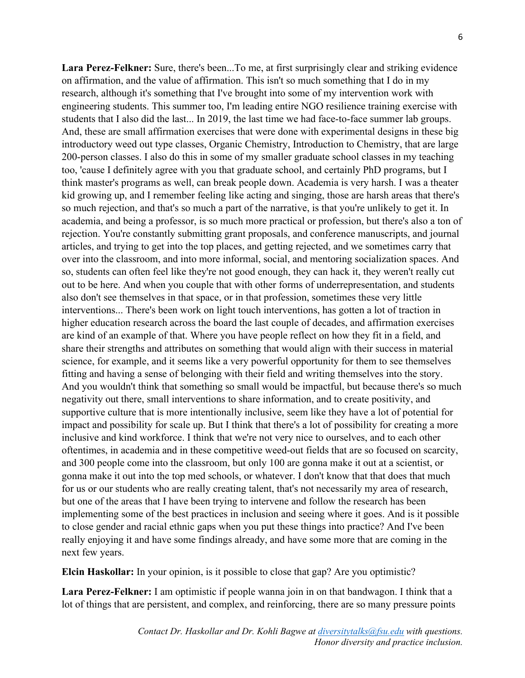**Lara Perez-Felkner:** Sure, there's been...To me, at first surprisingly clear and striking evidence on affirmation, and the value of affirmation. This isn't so much something that I do in my research, although it's something that I've brought into some of my intervention work with engineering students. This summer too, I'm leading entire NGO resilience training exercise with students that I also did the last... In 2019, the last time we had face-to-face summer lab groups. And, these are small affirmation exercises that were done with experimental designs in these big introductory weed out type classes, Organic Chemistry, Introduction to Chemistry, that are large 200-person classes. I also do this in some of my smaller graduate school classes in my teaching too, 'cause I definitely agree with you that graduate school, and certainly PhD programs, but I think master's programs as well, can break people down. Academia is very harsh. I was a theater kid growing up, and I remember feeling like acting and singing, those are harsh areas that there's so much rejection, and that's so much a part of the narrative, is that you're unlikely to get it. In academia, and being a professor, is so much more practical or profession, but there's also a ton of rejection. You're constantly submitting grant proposals, and conference manuscripts, and journal articles, and trying to get into the top places, and getting rejected, and we sometimes carry that over into the classroom, and into more informal, social, and mentoring socialization spaces. And so, students can often feel like they're not good enough, they can hack it, they weren't really cut out to be here. And when you couple that with other forms of underrepresentation, and students also don't see themselves in that space, or in that profession, sometimes these very little interventions... There's been work on light touch interventions, has gotten a lot of traction in higher education research across the board the last couple of decades, and affirmation exercises are kind of an example of that. Where you have people reflect on how they fit in a field, and share their strengths and attributes on something that would align with their success in material science, for example, and it seems like a very powerful opportunity for them to see themselves fitting and having a sense of belonging with their field and writing themselves into the story. And you wouldn't think that something so small would be impactful, but because there's so much negativity out there, small interventions to share information, and to create positivity, and supportive culture that is more intentionally inclusive, seem like they have a lot of potential for impact and possibility for scale up. But I think that there's a lot of possibility for creating a more inclusive and kind workforce. I think that we're not very nice to ourselves, and to each other oftentimes, in academia and in these competitive weed-out fields that are so focused on scarcity, and 300 people come into the classroom, but only 100 are gonna make it out at a scientist, or gonna make it out into the top med schools, or whatever. I don't know that that does that much for us or our students who are really creating talent, that's not necessarily my area of research, but one of the areas that I have been trying to intervene and follow the research has been implementing some of the best practices in inclusion and seeing where it goes. And is it possible to close gender and racial ethnic gaps when you put these things into practice? And I've been really enjoying it and have some findings already, and have some more that are coming in the next few years.

**Elcin Haskollar:** In your opinion, is it possible to close that gap? Are you optimistic?

**Lara Perez-Felkner:** I am optimistic if people wanna join in on that bandwagon. I think that a lot of things that are persistent, and complex, and reinforcing, there are so many pressure points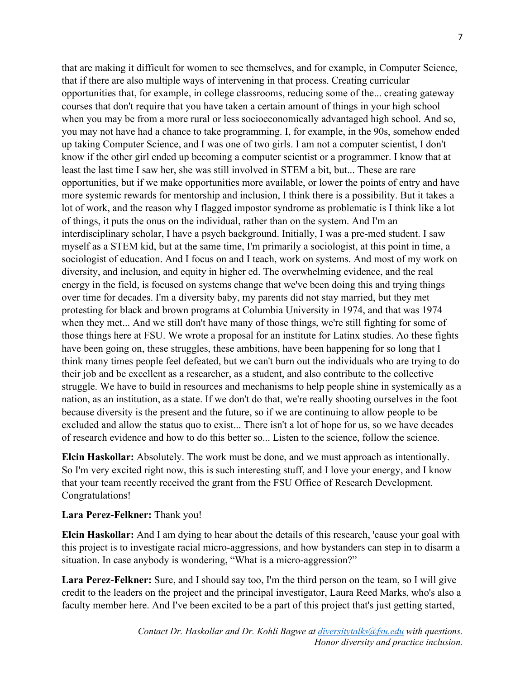that are making it difficult for women to see themselves, and for example, in Computer Science, that if there are also multiple ways of intervening in that process. Creating curricular opportunities that, for example, in college classrooms, reducing some of the... creating gateway courses that don't require that you have taken a certain amount of things in your high school when you may be from a more rural or less socioeconomically advantaged high school. And so, you may not have had a chance to take programming. I, for example, in the 90s, somehow ended up taking Computer Science, and I was one of two girls. I am not a computer scientist, I don't know if the other girl ended up becoming a computer scientist or a programmer. I know that at least the last time I saw her, she was still involved in STEM a bit, but... These are rare opportunities, but if we make opportunities more available, or lower the points of entry and have more systemic rewards for mentorship and inclusion, I think there is a possibility. But it takes a lot of work, and the reason why I flagged impostor syndrome as problematic is I think like a lot of things, it puts the onus on the individual, rather than on the system. And I'm an interdisciplinary scholar, I have a psych background. Initially, I was a pre-med student. I saw myself as a STEM kid, but at the same time, I'm primarily a sociologist, at this point in time, a sociologist of education. And I focus on and I teach, work on systems. And most of my work on diversity, and inclusion, and equity in higher ed. The overwhelming evidence, and the real energy in the field, is focused on systems change that we've been doing this and trying things over time for decades. I'm a diversity baby, my parents did not stay married, but they met protesting for black and brown programs at Columbia University in 1974, and that was 1974 when they met... And we still don't have many of those things, we're still fighting for some of those things here at FSU. We wrote a proposal for an institute for Latinx studies. Ao these fights have been going on, these struggles, these ambitions, have been happening for so long that I think many times people feel defeated, but we can't burn out the individuals who are trying to do their job and be excellent as a researcher, as a student, and also contribute to the collective struggle. We have to build in resources and mechanisms to help people shine in systemically as a nation, as an institution, as a state. If we don't do that, we're really shooting ourselves in the foot because diversity is the present and the future, so if we are continuing to allow people to be excluded and allow the status quo to exist... There isn't a lot of hope for us, so we have decades of research evidence and how to do this better so... Listen to the science, follow the science.

**Elcin Haskollar:** Absolutely. The work must be done, and we must approach as intentionally. So I'm very excited right now, this is such interesting stuff, and I love your energy, and I know that your team recently received the grant from the FSU Office of Research Development. Congratulations!

## **Lara Perez-Felkner:** Thank you!

**Elcin Haskollar:** And I am dying to hear about the details of this research, 'cause your goal with this project is to investigate racial micro-aggressions, and how bystanders can step in to disarm a situation. In case anybody is wondering, "What is a micro-aggression?"

**Lara Perez-Felkner:** Sure, and I should say too, I'm the third person on the team, so I will give credit to the leaders on the project and the principal investigator, Laura Reed Marks, who's also a faculty member here. And I've been excited to be a part of this project that's just getting started,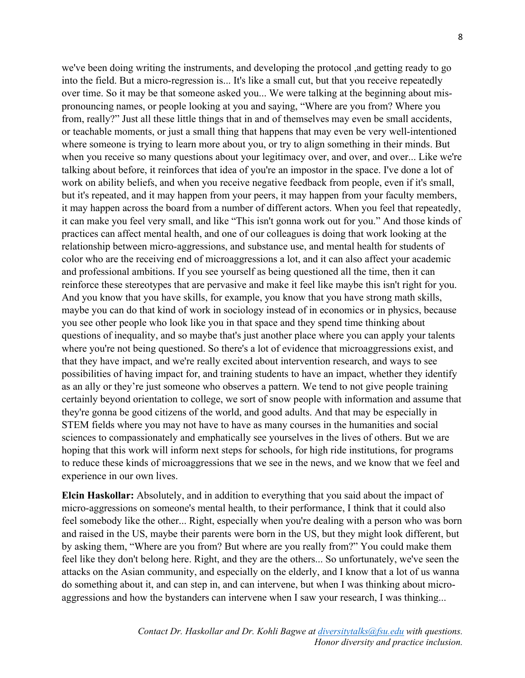we've been doing writing the instruments, and developing the protocol ,and getting ready to go into the field. But a micro-regression is... It's like a small cut, but that you receive repeatedly over time. So it may be that someone asked you... We were talking at the beginning about mispronouncing names, or people looking at you and saying, "Where are you from? Where you from, really?" Just all these little things that in and of themselves may even be small accidents, or teachable moments, or just a small thing that happens that may even be very well-intentioned where someone is trying to learn more about you, or try to align something in their minds. But when you receive so many questions about your legitimacy over, and over, and over... Like we're talking about before, it reinforces that idea of you're an impostor in the space. I've done a lot of work on ability beliefs, and when you receive negative feedback from people, even if it's small, but it's repeated, and it may happen from your peers, it may happen from your faculty members, it may happen across the board from a number of different actors. When you feel that repeatedly, it can make you feel very small, and like "This isn't gonna work out for you." And those kinds of practices can affect mental health, and one of our colleagues is doing that work looking at the relationship between micro-aggressions, and substance use, and mental health for students of color who are the receiving end of microaggressions a lot, and it can also affect your academic and professional ambitions. If you see yourself as being questioned all the time, then it can reinforce these stereotypes that are pervasive and make it feel like maybe this isn't right for you. And you know that you have skills, for example, you know that you have strong math skills, maybe you can do that kind of work in sociology instead of in economics or in physics, because you see other people who look like you in that space and they spend time thinking about questions of inequality, and so maybe that's just another place where you can apply your talents where you're not being questioned. So there's a lot of evidence that microaggressions exist, and that they have impact, and we're really excited about intervention research, and ways to see possibilities of having impact for, and training students to have an impact, whether they identify as an ally or they're just someone who observes a pattern. We tend to not give people training certainly beyond orientation to college, we sort of snow people with information and assume that they're gonna be good citizens of the world, and good adults. And that may be especially in STEM fields where you may not have to have as many courses in the humanities and social sciences to compassionately and emphatically see yourselves in the lives of others. But we are hoping that this work will inform next steps for schools, for high ride institutions, for programs to reduce these kinds of microaggressions that we see in the news, and we know that we feel and experience in our own lives.

**Elcin Haskollar:** Absolutely, and in addition to everything that you said about the impact of micro-aggressions on someone's mental health, to their performance, I think that it could also feel somebody like the other... Right, especially when you're dealing with a person who was born and raised in the US, maybe their parents were born in the US, but they might look different, but by asking them, "Where are you from? But where are you really from?" You could make them feel like they don't belong here. Right, and they are the others... So unfortunately, we've seen the attacks on the Asian community, and especially on the elderly, and I know that a lot of us wanna do something about it, and can step in, and can intervene, but when I was thinking about microaggressions and how the bystanders can intervene when I saw your research, I was thinking...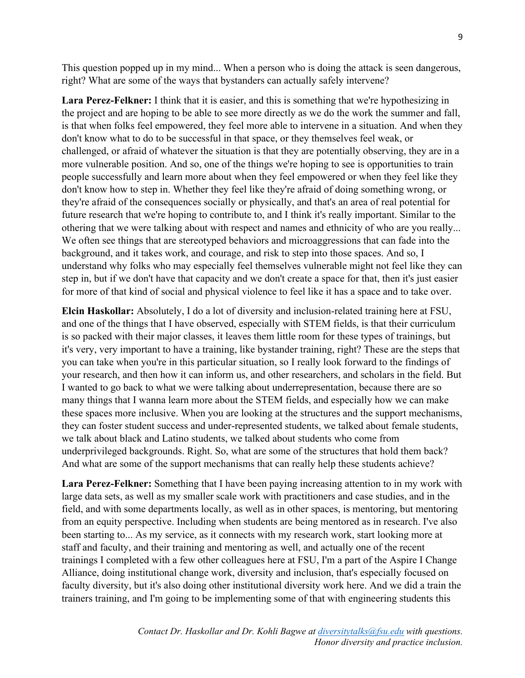This question popped up in my mind... When a person who is doing the attack is seen dangerous, right? What are some of the ways that bystanders can actually safely intervene?

**Lara Perez-Felkner:** I think that it is easier, and this is something that we're hypothesizing in the project and are hoping to be able to see more directly as we do the work the summer and fall, is that when folks feel empowered, they feel more able to intervene in a situation. And when they don't know what to do to be successful in that space, or they themselves feel weak, or challenged, or afraid of whatever the situation is that they are potentially observing, they are in a more vulnerable position. And so, one of the things we're hoping to see is opportunities to train people successfully and learn more about when they feel empowered or when they feel like they don't know how to step in. Whether they feel like they're afraid of doing something wrong, or they're afraid of the consequences socially or physically, and that's an area of real potential for future research that we're hoping to contribute to, and I think it's really important. Similar to the othering that we were talking about with respect and names and ethnicity of who are you really... We often see things that are stereotyped behaviors and microaggressions that can fade into the background, and it takes work, and courage, and risk to step into those spaces. And so, I understand why folks who may especially feel themselves vulnerable might not feel like they can step in, but if we don't have that capacity and we don't create a space for that, then it's just easier for more of that kind of social and physical violence to feel like it has a space and to take over.

**Elcin Haskollar:** Absolutely, I do a lot of diversity and inclusion-related training here at FSU, and one of the things that I have observed, especially with STEM fields, is that their curriculum is so packed with their major classes, it leaves them little room for these types of trainings, but it's very, very important to have a training, like bystander training, right? These are the steps that you can take when you're in this particular situation, so I really look forward to the findings of your research, and then how it can inform us, and other researchers, and scholars in the field. But I wanted to go back to what we were talking about underrepresentation, because there are so many things that I wanna learn more about the STEM fields, and especially how we can make these spaces more inclusive. When you are looking at the structures and the support mechanisms, they can foster student success and under-represented students, we talked about female students, we talk about black and Latino students, we talked about students who come from underprivileged backgrounds. Right. So, what are some of the structures that hold them back? And what are some of the support mechanisms that can really help these students achieve?

**Lara Perez-Felkner:** Something that I have been paying increasing attention to in my work with large data sets, as well as my smaller scale work with practitioners and case studies, and in the field, and with some departments locally, as well as in other spaces, is mentoring, but mentoring from an equity perspective. Including when students are being mentored as in research. I've also been starting to... As my service, as it connects with my research work, start looking more at staff and faculty, and their training and mentoring as well, and actually one of the recent trainings I completed with a few other colleagues here at FSU, I'm a part of the Aspire I Change Alliance, doing institutional change work, diversity and inclusion, that's especially focused on faculty diversity, but it's also doing other institutional diversity work here. And we did a train the trainers training, and I'm going to be implementing some of that with engineering students this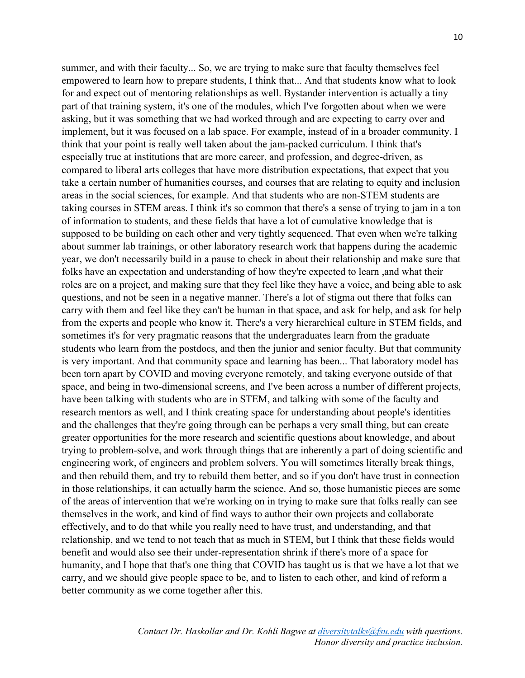summer, and with their faculty... So, we are trying to make sure that faculty themselves feel empowered to learn how to prepare students, I think that... And that students know what to look for and expect out of mentoring relationships as well. Bystander intervention is actually a tiny part of that training system, it's one of the modules, which I've forgotten about when we were asking, but it was something that we had worked through and are expecting to carry over and implement, but it was focused on a lab space. For example, instead of in a broader community. I think that your point is really well taken about the jam-packed curriculum. I think that's especially true at institutions that are more career, and profession, and degree-driven, as compared to liberal arts colleges that have more distribution expectations, that expect that you take a certain number of humanities courses, and courses that are relating to equity and inclusion areas in the social sciences, for example. And that students who are non-STEM students are taking courses in STEM areas. I think it's so common that there's a sense of trying to jam in a ton of information to students, and these fields that have a lot of cumulative knowledge that is supposed to be building on each other and very tightly sequenced. That even when we're talking about summer lab trainings, or other laboratory research work that happens during the academic year, we don't necessarily build in a pause to check in about their relationship and make sure that folks have an expectation and understanding of how they're expected to learn ,and what their roles are on a project, and making sure that they feel like they have a voice, and being able to ask questions, and not be seen in a negative manner. There's a lot of stigma out there that folks can carry with them and feel like they can't be human in that space, and ask for help, and ask for help from the experts and people who know it. There's a very hierarchical culture in STEM fields, and sometimes it's for very pragmatic reasons that the undergraduates learn from the graduate students who learn from the postdocs, and then the junior and senior faculty. But that community is very important. And that community space and learning has been... That laboratory model has been torn apart by COVID and moving everyone remotely, and taking everyone outside of that space, and being in two-dimensional screens, and I've been across a number of different projects, have been talking with students who are in STEM, and talking with some of the faculty and research mentors as well, and I think creating space for understanding about people's identities and the challenges that they're going through can be perhaps a very small thing, but can create greater opportunities for the more research and scientific questions about knowledge, and about trying to problem-solve, and work through things that are inherently a part of doing scientific and engineering work, of engineers and problem solvers. You will sometimes literally break things, and then rebuild them, and try to rebuild them better, and so if you don't have trust in connection in those relationships, it can actually harm the science. And so, those humanistic pieces are some of the areas of intervention that we're working on in trying to make sure that folks really can see themselves in the work, and kind of find ways to author their own projects and collaborate effectively, and to do that while you really need to have trust, and understanding, and that relationship, and we tend to not teach that as much in STEM, but I think that these fields would benefit and would also see their under-representation shrink if there's more of a space for humanity, and I hope that that's one thing that COVID has taught us is that we have a lot that we carry, and we should give people space to be, and to listen to each other, and kind of reform a better community as we come together after this.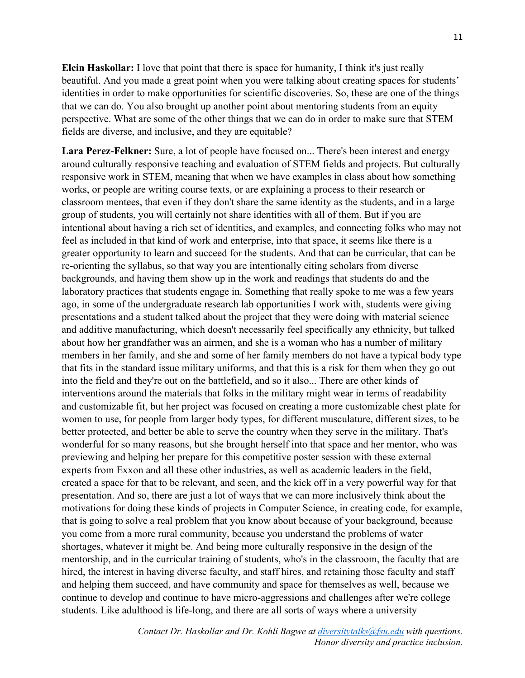**Elcin Haskollar:** I love that point that there is space for humanity, I think it's just really beautiful. And you made a great point when you were talking about creating spaces for students' identities in order to make opportunities for scientific discoveries. So, these are one of the things that we can do. You also brought up another point about mentoring students from an equity perspective. What are some of the other things that we can do in order to make sure that STEM fields are diverse, and inclusive, and they are equitable?

**Lara Perez-Felkner:** Sure, a lot of people have focused on... There's been interest and energy around culturally responsive teaching and evaluation of STEM fields and projects. But culturally responsive work in STEM, meaning that when we have examples in class about how something works, or people are writing course texts, or are explaining a process to their research or classroom mentees, that even if they don't share the same identity as the students, and in a large group of students, you will certainly not share identities with all of them. But if you are intentional about having a rich set of identities, and examples, and connecting folks who may not feel as included in that kind of work and enterprise, into that space, it seems like there is a greater opportunity to learn and succeed for the students. And that can be curricular, that can be re-orienting the syllabus, so that way you are intentionally citing scholars from diverse backgrounds, and having them show up in the work and readings that students do and the laboratory practices that students engage in. Something that really spoke to me was a few years ago, in some of the undergraduate research lab opportunities I work with, students were giving presentations and a student talked about the project that they were doing with material science and additive manufacturing, which doesn't necessarily feel specifically any ethnicity, but talked about how her grandfather was an airmen, and she is a woman who has a number of military members in her family, and she and some of her family members do not have a typical body type that fits in the standard issue military uniforms, and that this is a risk for them when they go out into the field and they're out on the battlefield, and so it also... There are other kinds of interventions around the materials that folks in the military might wear in terms of readability and customizable fit, but her project was focused on creating a more customizable chest plate for women to use, for people from larger body types, for different musculature, different sizes, to be better protected, and better be able to serve the country when they serve in the military. That's wonderful for so many reasons, but she brought herself into that space and her mentor, who was previewing and helping her prepare for this competitive poster session with these external experts from Exxon and all these other industries, as well as academic leaders in the field, created a space for that to be relevant, and seen, and the kick off in a very powerful way for that presentation. And so, there are just a lot of ways that we can more inclusively think about the motivations for doing these kinds of projects in Computer Science, in creating code, for example, that is going to solve a real problem that you know about because of your background, because you come from a more rural community, because you understand the problems of water shortages, whatever it might be. And being more culturally responsive in the design of the mentorship, and in the curricular training of students, who's in the classroom, the faculty that are hired, the interest in having diverse faculty, and staff hires, and retaining those faculty and staff and helping them succeed, and have community and space for themselves as well, because we continue to develop and continue to have micro-aggressions and challenges after we're college students. Like adulthood is life-long, and there are all sorts of ways where a university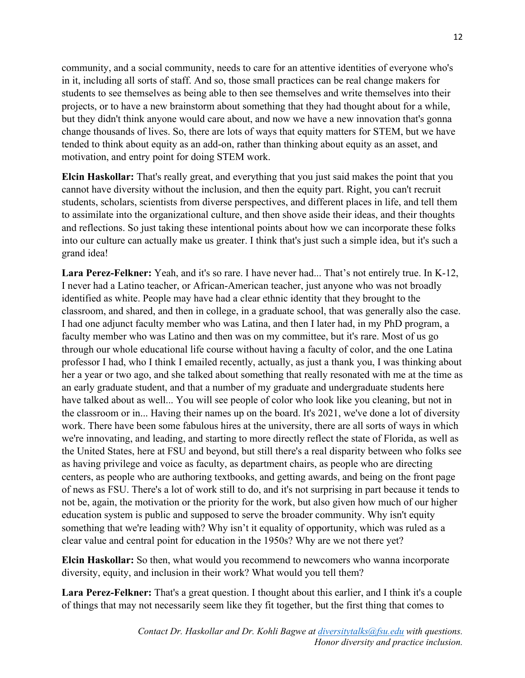community, and a social community, needs to care for an attentive identities of everyone who's in it, including all sorts of staff. And so, those small practices can be real change makers for students to see themselves as being able to then see themselves and write themselves into their projects, or to have a new brainstorm about something that they had thought about for a while, but they didn't think anyone would care about, and now we have a new innovation that's gonna change thousands of lives. So, there are lots of ways that equity matters for STEM, but we have tended to think about equity as an add-on, rather than thinking about equity as an asset, and motivation, and entry point for doing STEM work.

**Elcin Haskollar:** That's really great, and everything that you just said makes the point that you cannot have diversity without the inclusion, and then the equity part. Right, you can't recruit students, scholars, scientists from diverse perspectives, and different places in life, and tell them to assimilate into the organizational culture, and then shove aside their ideas, and their thoughts and reflections. So just taking these intentional points about how we can incorporate these folks into our culture can actually make us greater. I think that's just such a simple idea, but it's such a grand idea!

**Lara Perez-Felkner:** Yeah, and it's so rare. I have never had... That's not entirely true. In K-12, I never had a Latino teacher, or African-American teacher, just anyone who was not broadly identified as white. People may have had a clear ethnic identity that they brought to the classroom, and shared, and then in college, in a graduate school, that was generally also the case. I had one adjunct faculty member who was Latina, and then I later had, in my PhD program, a faculty member who was Latino and then was on my committee, but it's rare. Most of us go through our whole educational life course without having a faculty of color, and the one Latina professor I had, who I think I emailed recently, actually, as just a thank you, I was thinking about her a year or two ago, and she talked about something that really resonated with me at the time as an early graduate student, and that a number of my graduate and undergraduate students here have talked about as well... You will see people of color who look like you cleaning, but not in the classroom or in... Having their names up on the board. It's 2021, we've done a lot of diversity work. There have been some fabulous hires at the university, there are all sorts of ways in which we're innovating, and leading, and starting to more directly reflect the state of Florida, as well as the United States, here at FSU and beyond, but still there's a real disparity between who folks see as having privilege and voice as faculty, as department chairs, as people who are directing centers, as people who are authoring textbooks, and getting awards, and being on the front page of news as FSU. There's a lot of work still to do, and it's not surprising in part because it tends to not be, again, the motivation or the priority for the work, but also given how much of our higher education system is public and supposed to serve the broader community. Why isn't equity something that we're leading with? Why isn't it equality of opportunity, which was ruled as a clear value and central point for education in the 1950s? Why are we not there yet?

**Elcin Haskollar:** So then, what would you recommend to newcomers who wanna incorporate diversity, equity, and inclusion in their work? What would you tell them?

**Lara Perez-Felkner:** That's a great question. I thought about this earlier, and I think it's a couple of things that may not necessarily seem like they fit together, but the first thing that comes to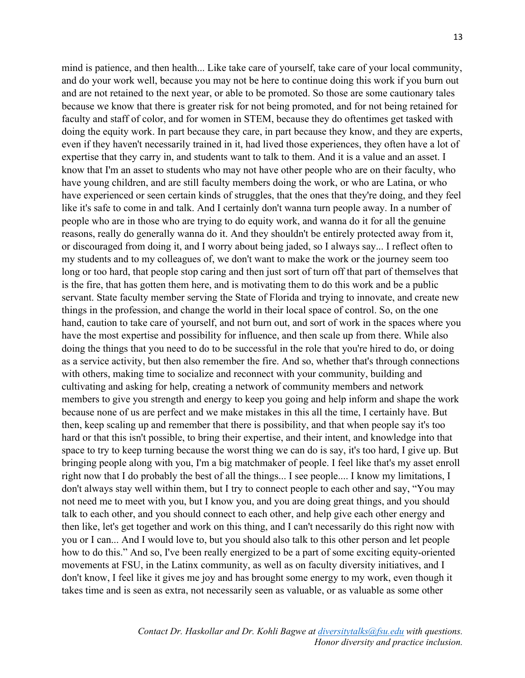mind is patience, and then health... Like take care of yourself, take care of your local community, and do your work well, because you may not be here to continue doing this work if you burn out and are not retained to the next year, or able to be promoted. So those are some cautionary tales because we know that there is greater risk for not being promoted, and for not being retained for faculty and staff of color, and for women in STEM, because they do oftentimes get tasked with doing the equity work. In part because they care, in part because they know, and they are experts, even if they haven't necessarily trained in it, had lived those experiences, they often have a lot of expertise that they carry in, and students want to talk to them. And it is a value and an asset. I know that I'm an asset to students who may not have other people who are on their faculty, who have young children, and are still faculty members doing the work, or who are Latina, or who have experienced or seen certain kinds of struggles, that the ones that they're doing, and they feel like it's safe to come in and talk. And I certainly don't wanna turn people away. In a number of people who are in those who are trying to do equity work, and wanna do it for all the genuine reasons, really do generally wanna do it. And they shouldn't be entirely protected away from it, or discouraged from doing it, and I worry about being jaded, so I always say... I reflect often to my students and to my colleagues of, we don't want to make the work or the journey seem too long or too hard, that people stop caring and then just sort of turn off that part of themselves that is the fire, that has gotten them here, and is motivating them to do this work and be a public servant. State faculty member serving the State of Florida and trying to innovate, and create new things in the profession, and change the world in their local space of control. So, on the one hand, caution to take care of yourself, and not burn out, and sort of work in the spaces where you have the most expertise and possibility for influence, and then scale up from there. While also doing the things that you need to do to be successful in the role that you're hired to do, or doing as a service activity, but then also remember the fire. And so, whether that's through connections with others, making time to socialize and reconnect with your community, building and cultivating and asking for help, creating a network of community members and network members to give you strength and energy to keep you going and help inform and shape the work because none of us are perfect and we make mistakes in this all the time, I certainly have. But then, keep scaling up and remember that there is possibility, and that when people say it's too hard or that this isn't possible, to bring their expertise, and their intent, and knowledge into that space to try to keep turning because the worst thing we can do is say, it's too hard, I give up. But bringing people along with you, I'm a big matchmaker of people. I feel like that's my asset enroll right now that I do probably the best of all the things... I see people.... I know my limitations, I don't always stay well within them, but I try to connect people to each other and say, "You may not need me to meet with you, but I know you, and you are doing great things, and you should talk to each other, and you should connect to each other, and help give each other energy and then like, let's get together and work on this thing, and I can't necessarily do this right now with you or I can... And I would love to, but you should also talk to this other person and let people how to do this." And so, I've been really energized to be a part of some exciting equity-oriented movements at FSU, in the Latinx community, as well as on faculty diversity initiatives, and I don't know, I feel like it gives me joy and has brought some energy to my work, even though it takes time and is seen as extra, not necessarily seen as valuable, or as valuable as some other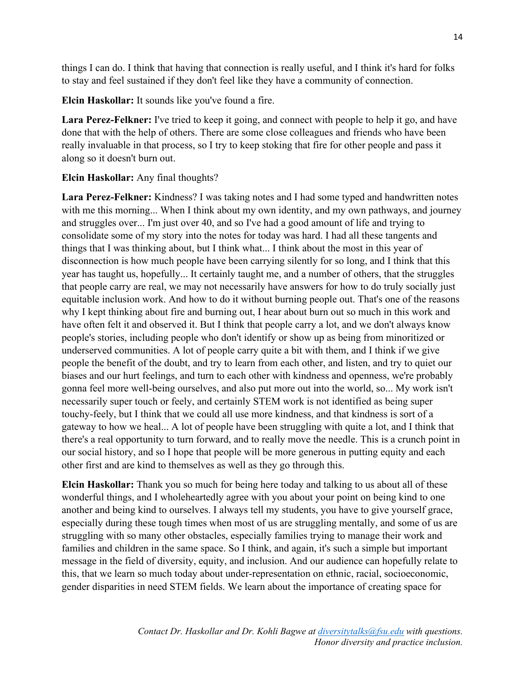things I can do. I think that having that connection is really useful, and I think it's hard for folks to stay and feel sustained if they don't feel like they have a community of connection.

**Elcin Haskollar:** It sounds like you've found a fire.

**Lara Perez-Felkner:** I've tried to keep it going, and connect with people to help it go, and have done that with the help of others. There are some close colleagues and friends who have been really invaluable in that process, so I try to keep stoking that fire for other people and pass it along so it doesn't burn out.

## **Elcin Haskollar:** Any final thoughts?

**Lara Perez-Felkner:** Kindness? I was taking notes and I had some typed and handwritten notes with me this morning... When I think about my own identity, and my own pathways, and journey and struggles over... I'm just over 40, and so I've had a good amount of life and trying to consolidate some of my story into the notes for today was hard. I had all these tangents and things that I was thinking about, but I think what... I think about the most in this year of disconnection is how much people have been carrying silently for so long, and I think that this year has taught us, hopefully... It certainly taught me, and a number of others, that the struggles that people carry are real, we may not necessarily have answers for how to do truly socially just equitable inclusion work. And how to do it without burning people out. That's one of the reasons why I kept thinking about fire and burning out, I hear about burn out so much in this work and have often felt it and observed it. But I think that people carry a lot, and we don't always know people's stories, including people who don't identify or show up as being from minoritized or underserved communities. A lot of people carry quite a bit with them, and I think if we give people the benefit of the doubt, and try to learn from each other, and listen, and try to quiet our biases and our hurt feelings, and turn to each other with kindness and openness, we're probably gonna feel more well-being ourselves, and also put more out into the world, so... My work isn't necessarily super touch or feely, and certainly STEM work is not identified as being super touchy-feely, but I think that we could all use more kindness, and that kindness is sort of a gateway to how we heal... A lot of people have been struggling with quite a lot, and I think that there's a real opportunity to turn forward, and to really move the needle. This is a crunch point in our social history, and so I hope that people will be more generous in putting equity and each other first and are kind to themselves as well as they go through this.

**Elcin Haskollar:** Thank you so much for being here today and talking to us about all of these wonderful things, and I wholeheartedly agree with you about your point on being kind to one another and being kind to ourselves. I always tell my students, you have to give yourself grace, especially during these tough times when most of us are struggling mentally, and some of us are struggling with so many other obstacles, especially families trying to manage their work and families and children in the same space. So I think, and again, it's such a simple but important message in the field of diversity, equity, and inclusion. And our audience can hopefully relate to this, that we learn so much today about under-representation on ethnic, racial, socioeconomic, gender disparities in need STEM fields. We learn about the importance of creating space for